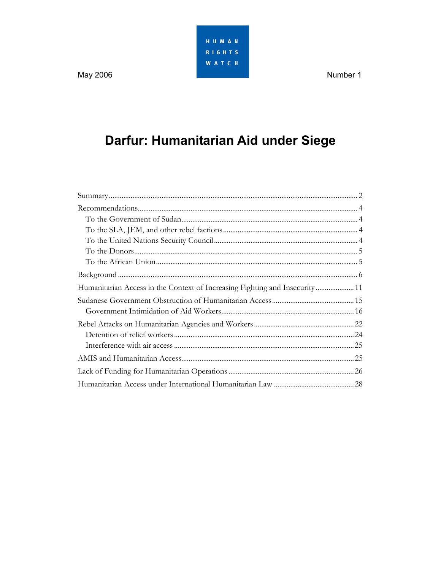HUMAN **RIGHTS WATCH** 

Number 1

May 2006

# Darfur: Humanitarian Aid under Siege

| Humanitarian Access in the Context of Increasing Fighting and Insecurity 11 |  |
|-----------------------------------------------------------------------------|--|
|                                                                             |  |
|                                                                             |  |
|                                                                             |  |
|                                                                             |  |
|                                                                             |  |
|                                                                             |  |
|                                                                             |  |
|                                                                             |  |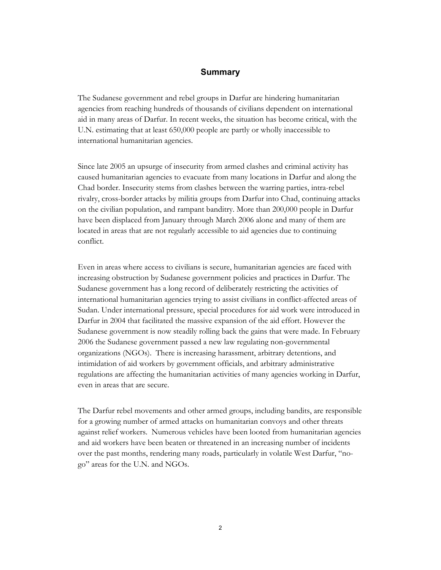#### **Summary**

The Sudanese government and rebel groups in Darfur are hindering humanitarian agencies from reaching hundreds of thousands of civilians dependent on international aid in many areas of Darfur. In recent weeks, the situation has become critical, with the U.N. estimating that at least 650,000 people are partly or wholly inaccessible to international humanitarian agencies.

Since late 2005 an upsurge of insecurity from armed clashes and criminal activity has caused humanitarian agencies to evacuate from many locations in Darfur and along the Chad border. Insecurity stems from clashes between the warring parties, intra-rebel rivalry, cross-border attacks by militia groups from Darfur into Chad, continuing attacks on the civilian population, and rampant banditry. More than 200,000 people in Darfur have been displaced from January through March 2006 alone and many of them are located in areas that are not regularly accessible to aid agencies due to continuing conflict.

Even in areas where access to civilians is secure, humanitarian agencies are faced with increasing obstruction by Sudanese government policies and practices in Darfur. The Sudanese government has a long record of deliberately restricting the activities of international humanitarian agencies trying to assist civilians in conflict-affected areas of Sudan. Under international pressure, special procedures for aid work were introduced in Darfur in 2004 that facilitated the massive expansion of the aid effort. However the Sudanese government is now steadily rolling back the gains that were made. In February 2006 the Sudanese government passed a new law regulating non-governmental organizations (NGOs). There is increasing harassment, arbitrary detentions, and intimidation of aid workers by government officials, and arbitrary administrative regulations are affecting the humanitarian activities of many agencies working in Darfur, even in areas that are secure.

The Darfur rebel movements and other armed groups, including bandits, are responsible for a growing number of armed attacks on humanitarian convoys and other threats against relief workers. Numerous vehicles have been looted from humanitarian agencies and aid workers have been beaten or threatened in an increasing number of incidents over the past months, rendering many roads, particularly in volatile West Darfur, "nogo" areas for the U.N. and NGOs.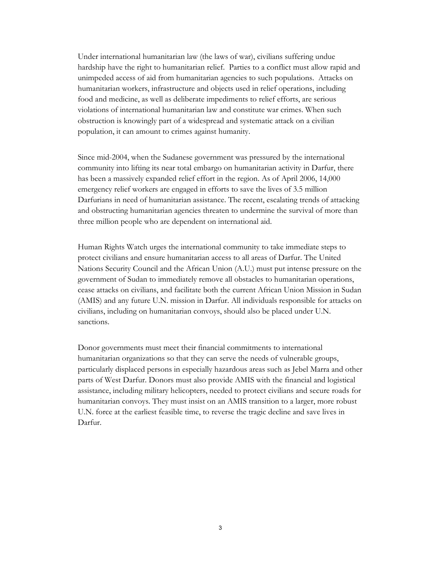Under international humanitarian law (the laws of war), civilians suffering undue hardship have the right to humanitarian relief. Parties to a conflict must allow rapid and unimpeded access of aid from humanitarian agencies to such populations. Attacks on humanitarian workers, infrastructure and objects used in relief operations, including food and medicine, as well as deliberate impediments to relief efforts, are serious violations of international humanitarian law and constitute war crimes. When such obstruction is knowingly part of a widespread and systematic attack on a civilian population, it can amount to crimes against humanity.

Since mid-2004, when the Sudanese government was pressured by the international community into lifting its near total embargo on humanitarian activity in Darfur, there has been a massively expanded relief effort in the region. As of April 2006, 14,000 emergency relief workers are engaged in efforts to save the lives of 3.5 million Darfurians in need of humanitarian assistance. The recent, escalating trends of attacking and obstructing humanitarian agencies threaten to undermine the survival of more than three million people who are dependent on international aid.

Human Rights Watch urges the international community to take immediate steps to protect civilians and ensure humanitarian access to all areas of Darfur. The United Nations Security Council and the African Union (A.U.) must put intense pressure on the government of Sudan to immediately remove all obstacles to humanitarian operations, cease attacks on civilians, and facilitate both the current African Union Mission in Sudan (AMIS) and any future U.N. mission in Darfur. All individuals responsible for attacks on civilians, including on humanitarian convoys, should also be placed under U.N. sanctions.

Donor governments must meet their financial commitments to international humanitarian organizations so that they can serve the needs of vulnerable groups, particularly displaced persons in especially hazardous areas such as Jebel Marra and other parts of West Darfur. Donors must also provide AMIS with the financial and logistical assistance, including military helicopters, needed to protect civilians and secure roads for humanitarian convoys. They must insist on an AMIS transition to a larger, more robust U.N. force at the earliest feasible time, to reverse the tragic decline and save lives in Darfur.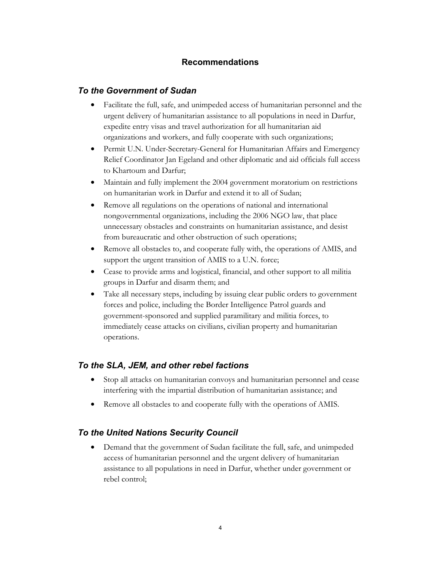# **Recommendations**

### *To the Government of Sudan*

- Facilitate the full, safe, and unimpeded access of humanitarian personnel and the urgent delivery of humanitarian assistance to all populations in need in Darfur, expedite entry visas and travel authorization for all humanitarian aid organizations and workers, and fully cooperate with such organizations;
- Permit U.N. Under-Secretary-General for Humanitarian Affairs and Emergency Relief Coordinator Jan Egeland and other diplomatic and aid officials full access to Khartoum and Darfur;
- Maintain and fully implement the 2004 government moratorium on restrictions on humanitarian work in Darfur and extend it to all of Sudan;
- Remove all regulations on the operations of national and international nongovernmental organizations, including the 2006 NGO law, that place unnecessary obstacles and constraints on humanitarian assistance, and desist from bureaucratic and other obstruction of such operations;
- Remove all obstacles to, and cooperate fully with, the operations of AMIS, and support the urgent transition of AMIS to a U.N. force;
- Cease to provide arms and logistical, financial, and other support to all militia groups in Darfur and disarm them; and
- Take all necessary steps, including by issuing clear public orders to government forces and police, including the Border Intelligence Patrol guards and government-sponsored and supplied paramilitary and militia forces, to immediately cease attacks on civilians, civilian property and humanitarian operations.

## *To the SLA, JEM, and other rebel factions*

- Stop all attacks on humanitarian convoys and humanitarian personnel and cease interfering with the impartial distribution of humanitarian assistance; and
- Remove all obstacles to and cooperate fully with the operations of AMIS.

## *To the United Nations Security Council*

• Demand that the government of Sudan facilitate the full, safe, and unimpeded access of humanitarian personnel and the urgent delivery of humanitarian assistance to all populations in need in Darfur, whether under government or rebel control;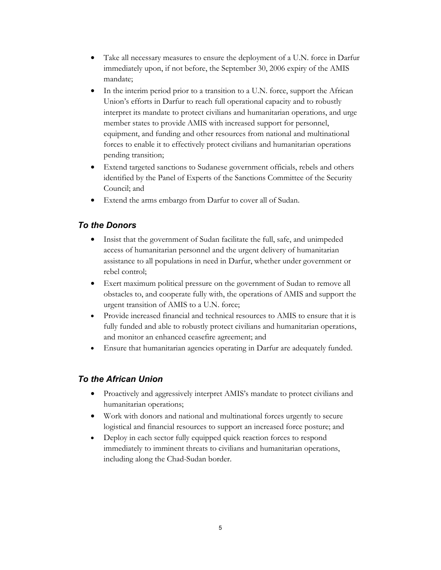- Take all necessary measures to ensure the deployment of a U.N. force in Darfur immediately upon, if not before, the September 30, 2006 expiry of the AMIS mandate;
- In the interim period prior to a transition to a U.N. force, support the African Union's efforts in Darfur to reach full operational capacity and to robustly interpret its mandate to protect civilians and humanitarian operations, and urge member states to provide AMIS with increased support for personnel, equipment, and funding and other resources from national and multinational forces to enable it to effectively protect civilians and humanitarian operations pending transition;
- Extend targeted sanctions to Sudanese government officials, rebels and others identified by the Panel of Experts of the Sanctions Committee of the Security Council; and
- Extend the arms embargo from Darfur to cover all of Sudan.

# *To the Donors*

- Insist that the government of Sudan facilitate the full, safe, and unimpeded access of humanitarian personnel and the urgent delivery of humanitarian assistance to all populations in need in Darfur, whether under government or rebel control;
- Exert maximum political pressure on the government of Sudan to remove all obstacles to, and cooperate fully with, the operations of AMIS and support the urgent transition of AMIS to a U.N. force;
- Provide increased financial and technical resources to AMIS to ensure that it is fully funded and able to robustly protect civilians and humanitarian operations, and monitor an enhanced ceasefire agreement; and
- Ensure that humanitarian agencies operating in Darfur are adequately funded.

# *To the African Union*

- Proactively and aggressively interpret AMIS's mandate to protect civilians and humanitarian operations;
- Work with donors and national and multinational forces urgently to secure logistical and financial resources to support an increased force posture; and
- Deploy in each sector fully equipped quick reaction forces to respond immediately to imminent threats to civilians and humanitarian operations, including along the Chad-Sudan border.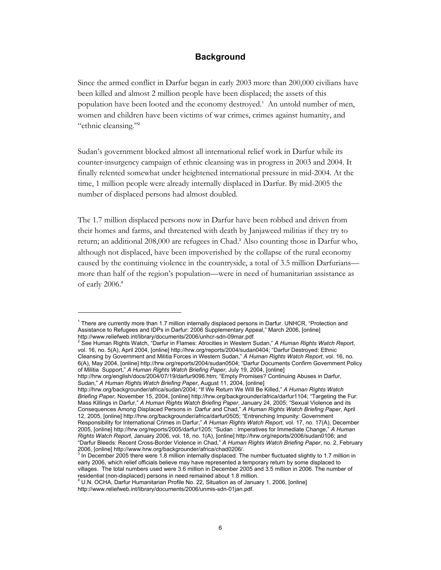#### **Background**

Since the armed conflict in Darfur began in early 2003 more than 200,000 civilians have been killed and almost 2 million people have been displaced; the assets of this population have been looted and the economy destroyed.<sup>1</sup> An untold number of men, women and children have been victims of war crimes, crimes against humanity, and "ethnic cleansing."<sup>2</sup>

Sudan's government blocked almost all international relief work in Darfur while its counter-insurgency campaign of ethnic cleansing was in progress in 2003 and 2004. It finally relented somewhat under heightened international pressure in mid-2004. At the time, 1 million people were already internally displaced in Darfur. By mid-2005 the number of displaced persons had almost doubled.

The 1.7 million displaced persons now in Darfur have been robbed and driven from their homes and farms, and threatened with death by Janjaweed militias if they try to return; an additional 208,000 are refugees in Chad.<sup>3</sup> Also counting those in Darfur who, although not displaced, have been impoverished by the collapse of the rural economy caused by the continuing violence in the countryside, a total of 3.5 million Darfurians more than half of the region's population—were in need of humanitarian assistance as of early 2006.<sup>4</sup>

 $\overline{a}$ 

2 See Human Rights Watch, "Darfur in Flames: Atrocities in Western Sudan," *A Human Rights Watch Report*, vol. 16, no. 5(A), April 2004, [online] http://hrw.org/reports/2004/sudan0404; "Darfur Destroyed: Ethnic Cleansing by Government and Militia Forces in Western Sudan," *A Human Rights Watch Report*, vol. 16, no. 6(A), May 2004, [online] http://hrw.org/reports/2004/sudan0504; "Darfur Documents Confirm Government Policy of Militia Support," *A Human Rights Watch Briefing Paper*, July 19, 2004, [online]

http://hrw.org/english/docs/2004/07/19/darfur9096.htm; "Empty Promises? Continuing Abuses in Darfur, Sudan," *A Human Rights Watch Briefing Paper*, August 11, 2004, [online]

http://hrw.org/backgrounder/africa/sudan/2004; "If We Return We Will Be Killed," *A Human Rights Watch Briefing Paper*, November 15, 2004, [online] http://hrw.org/backgrounder/africa/darfur1104; "Targeting the Fur: Mass Killings in Darfur," *A Human Rights Watch Briefing Paper*, January 24, 2005; "Sexual Violence and its Consequences Among Displaced Persons in Darfur and Chad," *A Human Rights Watch Briefing Paper*, April 12, 2005, [online] http://hrw.org/backgrounder/africa/darfur0505; "Entrenching Impunity: Government Responsibility for International Crimes in Darfur," *A Human Rights Watch Report*, vol. 17, no. 17(A), December 2005, [online] http://hrw.org/reports/2005/darfur1205; "Sudan : Imperatives for Immediate Change," *A Human Rights Watch Report*, January 2006, vol. 18, no. 1(A), [online] http://hrw.org/reports/2006/sudan0106; and "Darfur Bleeds: Recent Cross-Border Violence in Chad," *A Human Rights Watch Briefing Paper*, no. 2, February

http://www.reliefweb.int/library/documents/2006/unmis-sdn-01jan.pdf.

<sup>&</sup>lt;sup>1</sup> There are currently more than 1.7 million internally displaced persons in Darfur. UNHCR, "Protection and Assistance to Refugees and IDPs in Darfur: 2006 Supplementary Appeal," March 2006, [online] http://www.reliefweb.int/library/documents/2006/unhcr-sdn-09mar.pdf.

<sup>2006, [</sup>online] http://www.hrw.org/backgrounder/africa/chad0206/.<br><sup>3</sup> In December 2005 there were 1.8 million internally displaced. The number fluctuated slightly to 1.7 million in early 2006, which relief officials believe may have represented a temporary return by some displaced to villages. The total numbers used were 3.6 million in December 2005 and 3.5 million in 2006. The number of residential (non-displaced) persons in need remained about 1.8 million.<br><sup>4</sup> U.N. OCHA, Darfur Humanitarian Profile No. 22, Situation as of January 1, 2006, [online]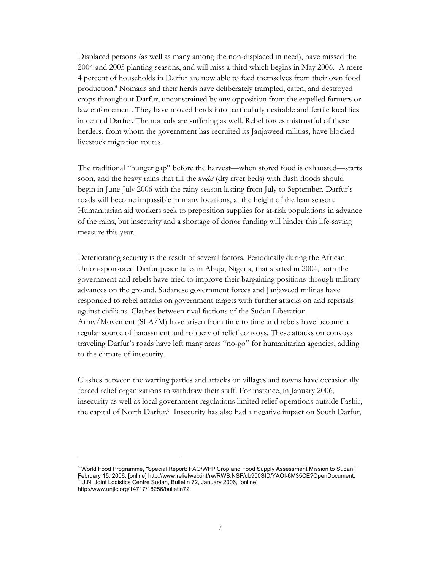Displaced persons (as well as many among the non-displaced in need), have missed the 2004 and 2005 planting seasons, and will miss a third which begins in May 2006. A mere 4 percent of households in Darfur are now able to feed themselves from their own food production.<sup>5</sup> Nomads and their herds have deliberately trampled, eaten, and destroyed crops throughout Darfur, unconstrained by any opposition from the expelled farmers or law enforcement. They have moved herds into particularly desirable and fertile localities in central Darfur. The nomads are suffering as well. Rebel forces mistrustful of these herders, from whom the government has recruited its Janjaweed militias, have blocked livestock migration routes.

The traditional "hunger gap" before the harvest—when stored food is exhausted—starts soon, and the heavy rains that fill the *wadis* (dry river beds) with flash floods should begin in June-July 2006 with the rainy season lasting from July to September. Darfur's roads will become impassible in many locations, at the height of the lean season. Humanitarian aid workers seek to preposition supplies for at-risk populations in advance of the rains, but insecurity and a shortage of donor funding will hinder this life-saving measure this year.

Deteriorating security is the result of several factors. Periodically during the African Union-sponsored Darfur peace talks in Abuja, Nigeria, that started in 2004, both the government and rebels have tried to improve their bargaining positions through military advances on the ground. Sudanese government forces and Janjaweed militias have responded to rebel attacks on government targets with further attacks on and reprisals against civilians. Clashes between rival factions of the Sudan Liberation Army/Movement (SLA/M) have arisen from time to time and rebels have become a regular source of harassment and robbery of relief convoys. These attacks on convoys traveling Darfur's roads have left many areas "no-go" for humanitarian agencies, adding to the climate of insecurity.

Clashes between the warring parties and attacks on villages and towns have occasionally forced relief organizations to withdraw their staff. For instance, in January 2006, insecurity as well as local government regulations limited relief operations outside Fashir, the capital of North Darfur.<sup>6</sup> Insecurity has also had a negative impact on South Darfur,

<sup>5</sup> World Food Programme, "Special Report: FAO/WFP Crop and Food Supply Assessment Mission to Sudan," February 15, 2006, [online] http://www.reliefweb.int/rw/RWB.NSF/db900SID/YAOI-6M35CE?OpenDocument.<br><sup>6</sup> U.N. Joint Logistics Centre Sudan, Bulletin 72, January 2006, [online]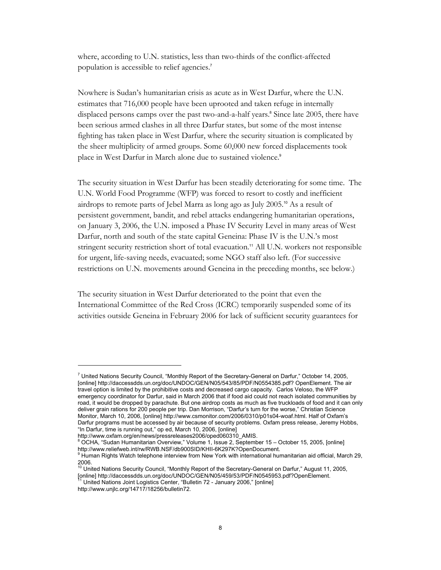where, according to U.N. statistics, less than two-thirds of the conflict-affected population is accessible to relief agencies.<sup>7</sup>

Nowhere is Sudan's humanitarian crisis as acute as in West Darfur, where the U.N. estimates that 716,000 people have been uprooted and taken refuge in internally displaced persons camps over the past two-and-a-half years.<sup>8</sup> Since late 2005, there have been serious armed clashes in all three Darfur states, but some of the most intense fighting has taken place in West Darfur, where the security situation is complicated by the sheer multiplicity of armed groups. Some 60,000 new forced displacements took place in West Darfur in March alone due to sustained violence.<sup>9</sup>

The security situation in West Darfur has been steadily deteriorating for some time. The U.N. World Food Programme (WFP) was forced to resort to costly and inefficient airdrops to remote parts of Jebel Marra as long ago as July 2005.10 As a result of persistent government, bandit, and rebel attacks endangering humanitarian operations, on January 3, 2006, the U.N. imposed a Phase IV Security Level in many areas of West Darfur, north and south of the state capital Geneina: Phase IV is the U.N.'s most stringent security restriction short of total evacuation.<sup>11</sup> All U.N. workers not responsible for urgent, life-saving needs, evacuated; some NGO staff also left. (For successive restrictions on U.N. movements around Geneina in the preceding months, see below.)

The security situation in West Darfur deteriorated to the point that even the International Committee of the Red Cross (ICRC) temporarily suspended some of its activities outside Geneina in February 2006 for lack of sufficient security guarantees for

<sup>&</sup>lt;sup>7</sup> United Nations Security Council, "Monthly Report of the Secretary-General on Darfur," October 14, 2005, [online] http://daccessdds.un.org/doc/UNDOC/GEN/N05/543/85/PDF/N0554385.pdf? OpenElement. The air travel option is limited by the prohibitive costs and decreased cargo capacity. Carlos Veloso, the WFP emergency coordinator for Darfur, said in March 2006 that if food aid could not reach isolated communities by road, it would be dropped by parachute. But one airdrop costs as much as five truckloads of food and it can only deliver grain rations for 200 people per trip. Dan Morrison, "Darfur's turn for the worse," Christian Science Monitor, March 10, 2006, [online] http://www.csmonitor.com/2006/0310/p01s04-woaf.html. Half of Oxfam's Darfur programs must be accessed by air because of security problems. Oxfam press release, Jeremy Hobbs, "In Darfur, time is running out," op ed, March 10, 2006, [online]

http://www.oxfam.org/en/news/pressreleases2006/oped060310\_AMIS.

<sup>8</sup> OCHA, "Sudan Humanitarian Overview," Volume 1, Issue 2, September 15 – October 15, 2005, [online] http://www.reliefweb.int/rw/RWB.NSF/db900SID/KHII-6K297K?OpenDocument.<br><sup>9</sup> Human Rights Watch telephone interview from New York with international humanitarian aid official, March 29,

<sup>2006.</sup> 

<sup>10</sup> United Nations Security Council, "Monthly Report of the Secretary-General on Darfur," August 11, 2005, [online] http://daccessdds.un.org/doc/UNDOC/GEN/N05/459/53/PDF/N0545953.pdf?OpenElement. 11 United Nations Joint Logistics Center, "Bulletin 72 - January 2006," [online]

http://www.unjlc.org/14717/18256/bulletin72.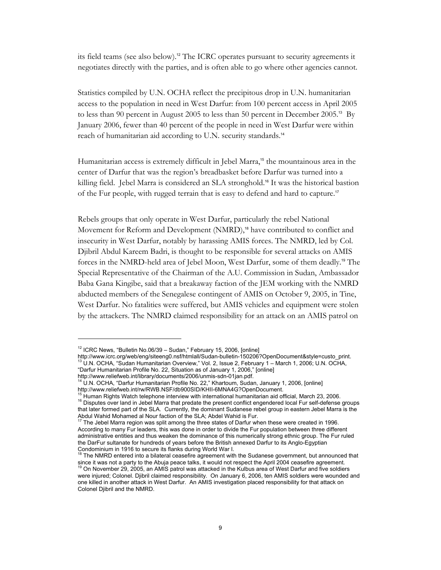its field teams (see also below).12 The ICRC operates pursuant to security agreements it negotiates directly with the parties, and is often able to go where other agencies cannot.

Statistics compiled by U.N. OCHA reflect the precipitous drop in U.N. humanitarian access to the population in need in West Darfur: from 100 percent access in April 2005 to less than 90 percent in August 2005 to less than 50 percent in December 2005.13 By January 2006, fewer than 40 percent of the people in need in West Darfur were within reach of humanitarian aid according to U.N. security standards.<sup>14</sup>

Humanitarian access is extremely difficult in Jebel Marra,<sup>15</sup> the mountainous area in the center of Darfur that was the region's breadbasket before Darfur was turned into a killing field. Jebel Marra is considered an SLA stronghold.<sup>16</sup> It was the historical bastion of the Fur people, with rugged terrain that is easy to defend and hard to capture.<sup>17</sup>

Rebels groups that only operate in West Darfur, particularly the rebel National Movement for Reform and Development (NMRD),<sup>18</sup> have contributed to conflict and insecurity in West Darfur, notably by harassing AMIS forces. The NMRD, led by Col. Djibril Abdul Kareem Badri, is thought to be responsible for several attacks on AMIS forces in the NMRD-held area of Jebel Moon, West Darfur, some of them deadly.19 The Special Representative of the Chairman of the A.U. Commission in Sudan, Ambassador Baba Gana Kingibe, said that a breakaway faction of the JEM working with the NMRD abducted members of the Senegalese contingent of AMIS on October 9, 2005, in Tine, West Darfur. No fatalities were suffered, but AMIS vehicles and equipment were stolen by the attackers. The NMRD claimed responsibility for an attack on an AMIS patrol on

<sup>&</sup>lt;sup>12</sup> ICRC News, "Bulletin No.06/39 – Sudan," February 15, 2006, [online]<br>http://www.icrc.org/web/eng/siteeng0.nsf/htmlall/Sudan-bulletin-150206?OpenDocument&style=custo\_print. <sup>13</sup> U.N. OCHA, "Sudan Humanitarian Overview," Vol. 2, Issue 2, February 1 – March 1, 2006; U.N. OCHA, "Darfur Humanitarian Profile No. 22, Situation as of January 1, 2006," [online]

http://www.reliefweb.int/library/documents/2006/unmis-sdn-01jan.pdf.<br><sup>14</sup> U.N. OCHA, "Darfur Humanitarian Profile No. 22," Khartoum, Sudan, January 1, 2006, [online] http://www.reliefweb.int/rw/RWB.NSF/db900SID/KHII-6MNA4G?OpenDocument.<br><sup>15</sup> Human Rights Watch telephone interview with international humanitarian aid official, March 23, 2006.

<sup>&</sup>lt;sup>16</sup> Disputes over land in Jebel Marra that predate the present conflict engendered local Fur self-defense groups that later formed part of the SLA. Currently, the dominant Sudanese rebel group in eastern Jebel Marra is the Abdul Wahid Mohamed al Nour faction of the SLA; Abdel Wahid is Fur.<br><sup>17</sup> The Jebel Marra region was said array t

The Jebel Marra region was split among the three states of Darfur when these were created in 1996. According to many Fur leaders, this was done in order to divide the Fur population between three different administrative entities and thus weaken the dominance of this numerically strong ethnic group. The Fur ruled the DarFur sultanate for hundreds of years before the British annexed Darfur to its Anglo-Egyptian

Condominium in 1916 to secure its flanks during World War I.<br><sup>18</sup> The NMRD entered into a bilateral ceasefire agreement with the Sudanese government, but announced that since it was not a party to the Abuja peace talks, it would not respect the April 2004 ceasefire agreement. <sup>19</sup> On November 29, 2005, an AMIS patrol was attacked in the Kulbus area of West Darfur and five soldiers

were injured; Colonel. Djibril claimed responsibility. On January 6, 2006, ten AMIS soldiers were wounded and one killed in another attack in West Darfur. An AMIS investigation placed responsibility for that attack on Colonel Djibril and the NMRD.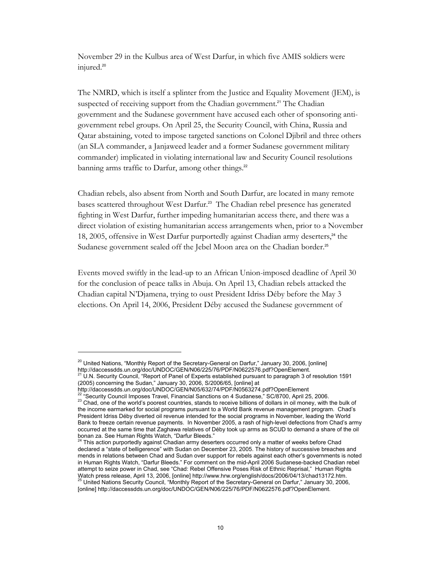November 29 in the Kulbus area of West Darfur, in which five AMIS soldiers were injured.<sup>20</sup>

The NMRD, which is itself a splinter from the Justice and Equality Movement (JEM), is suspected of receiving support from the Chadian government.<sup>21</sup> The Chadian government and the Sudanese government have accused each other of sponsoring antigovernment rebel groups. On April 25, the Security Council, with China, Russia and Qatar abstaining, voted to impose targeted sanctions on Colonel Djibril and three others (an SLA commander, a Janjaweed leader and a former Sudanese government military commander) implicated in violating international law and Security Council resolutions banning arms traffic to Darfur, among other things.<sup>22</sup>

Chadian rebels, also absent from North and South Darfur, are located in many remote bases scattered throughout West Darfur.23 The Chadian rebel presence has generated fighting in West Darfur, further impeding humanitarian access there, and there was a direct violation of existing humanitarian access arrangements when, prior to a November 18, 2005, offensive in West Darfur purportedly against Chadian army deserters,<sup>24</sup> the Sudanese government sealed off the Jebel Moon area on the Chadian border.<sup>25</sup>

Events moved swiftly in the lead-up to an African Union-imposed deadline of April 30 for the conclusion of peace talks in Abuja. On April 13, Chadian rebels attacked the Chadian capital N'Djamena, trying to oust President Idriss Déby before the May 3 elections. On April 14, 2006, President Déby accused the Sudanese government of

<sup>&</sup>lt;sup>20</sup> United Nations, "Monthly Report of the Secretary-General on Darfur," January 30, 2006, [online]

http://daccessdds.un.org/doc/UNDOC/GEN/N06/225/76/PDF/N0622576.pdf?OpenElement.<br><sup>21</sup> U.N. Security Council, "Report of Panel of Experts established pursuant to paragraph 3 of resolution 1591 (2005) concerning the Sudan," January 30, 2006, S/2006/65, [online] at

http://daccessdds.un.org/doc/UNDOC/GEN/N05/632/74/PDF/N0563274.pdf?OpenElement

<sup>&</sup>lt;sup>22 "</sup>Security Council Imposes Travel, Financial Sanctions on 4 Sudanese," SC/8700, April 25, 2006.<br><sup>23</sup> Chad, one of the world's poorest countries, stands to receive billions of dollars in oil money, with the bulk of the income earmarked for social programs pursuant to a World Bank revenue management program. Chad's President Idriss Déby diverted oil revenue intended for the social programs in November, leading the World Bank to freeze certain revenue payments. In November 2005, a rash of high-level defections from Chad's army occurred at the same time that Zaghawa relatives of Déby took up arms as SCUD to demand a share of the oil bonan za. See Human Rights Watch, "Darfur Bleeds."

<sup>&</sup>lt;sup>24</sup> This action purportedly against Chadian army deserters occurred only a matter of weeks before Chad declared a "state of belligerence" with Sudan on December 23, 2005. The history of successive breaches and mends in relations between Chad and Sudan over support for rebels against each other's governments is noted in Human Rights Watch, "Darfur Bleeds." For comment on the mid-April 2006 Sudanese-backed Chadian rebel attempt to seize power in Chad, see "Chad: Rebel Offensive Poses Risk of Ethnic Reprisal," Human Rights Watch press release, April 13, 2006, [online] http://www.hrw.org/english/docs/2006/04/13/chad13172.htm. <sup>25</sup> United Nations Security Council, "Monthly Report of the Secretary-General on Darfur," January 30, 2006, [online] http://daccessdds.un.org/doc/UNDOC/GEN/N06/225/76/PDF/N0622576.pdf?OpenElement.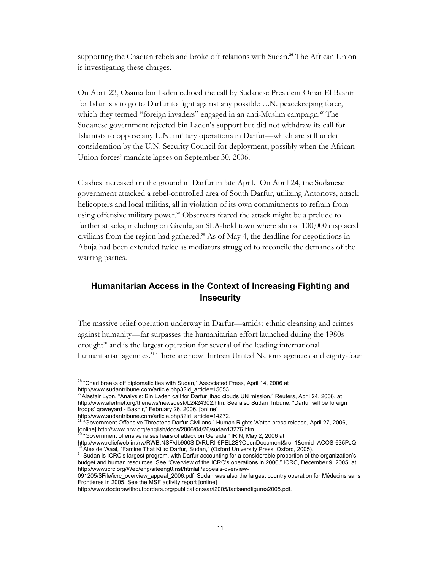supporting the Chadian rebels and broke off relations with Sudan.<sup>26</sup> The African Union is investigating these charges.

On April 23, Osama bin Laden echoed the call by Sudanese President Omar El Bashir for Islamists to go to Darfur to fight against any possible U.N. peacekeeping force, which they termed "foreign invaders" engaged in an anti-Muslim campaign.<sup>27</sup> The Sudanese government rejected bin Laden's support but did not withdraw its call for Islamists to oppose any U.N. military operations in Darfur—which are still under consideration by the U.N. Security Council for deployment, possibly when the African Union forces' mandate lapses on September 30, 2006.

Clashes increased on the ground in Darfur in late April. On April 24, the Sudanese government attacked a rebel-controlled area of South Darfur, utilizing Antonovs, attack helicopters and local militias, all in violation of its own commitments to refrain from using offensive military power.<sup>28</sup> Observers feared the attack might be a prelude to further attacks, including on Greida, an SLA-held town where almost 100,000 displaced civilians from the region had gathered.29 As of May 4, the deadline for negotiations in Abuja had been extended twice as mediators struggled to reconcile the demands of the warring parties.

# **Humanitarian Access in the Context of Increasing Fighting and Insecurity**

The massive relief operation underway in Darfur—amidst ethnic cleansing and crimes against humanity—far surpasses the humanitarian effort launched during the 1980s drought<sup>30</sup> and is the largest operation for several of the leading international humanitarian agencies.<sup>31</sup> There are now thirteen United Nations agencies and eighty-four

<sup>&</sup>lt;sup>26</sup> "Chad breaks off diplomatic ties with Sudan," Associated Press, April 14, 2006 at http://www.sudantribune.com/article.php3?id\_article=15053.

<sup>27</sup>Alastair Lyon, "Analysis: Bin Laden call for Darfur jihad clouds UN mission," Reuters, April 24, 2006, at http://www.alertnet.org/thenews/newsdesk/L2424302.htm. See also Sudan Tribune, "Darfur will be foreign troops' graveyard - Bashir," February 26, 2006, [online]

http://www.sudantribune.com/article.php3?id\_article=14272.<br><sup>28</sup> "Coversport Cff.

<sup>28 &</sup>quot;Government Offensive Threatens Darfur Civilians," Human Rights Watch press release, April 27, 2006, [online] http://www.hrw.org/english/docs/2006/04/26/sudan13276.htm.<br><sup>29</sup> "Government offensive raises fears of attack on Gereida," IRIN, May 2, 2006 at

http://www.reliefweb.int/rw/RWB.NSF/db900SID/RURI-6PEL2S?OpenDocument&rc=1&emid=ACOS-635PJQ.<br><sup>30</sup> Alex de Waal, "Famine That Kills: Darfur, Sudan," (Oxford University Press: Oxford, 2005).<br><sup>31</sup> Sudan is ICRC's largest prog

budget and human resources. See "Overview of the ICRC's operations in 2006," ICRC, December 9, 2005, at http://www.icrc.org/Web/eng/siteeng0.nsf/htmlall/appeals-overview-

<sup>091205/\$</sup>File/icrc\_overview\_appeal\_2006.pdf Sudan was also the largest country operation for Médecins sans Frontières in 2005. See the MSF activity report [online]

http://www.doctorswithoutborders.org/publications/ar/i2005/factsandfigures2005.pdf.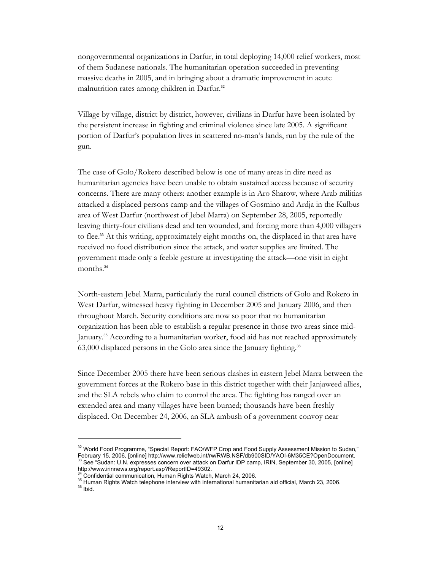nongovernmental organizations in Darfur, in total deploying 14,000 relief workers, most of them Sudanese nationals. The humanitarian operation succeeded in preventing massive deaths in 2005, and in bringing about a dramatic improvement in acute malnutrition rates among children in Darfur.<sup>32</sup>

Village by village, district by district, however, civilians in Darfur have been isolated by the persistent increase in fighting and criminal violence since late 2005. A significant portion of Darfur's population lives in scattered no-man's lands, run by the rule of the gun.

The case of Golo/Rokero described below is one of many areas in dire need as humanitarian agencies have been unable to obtain sustained access because of security concerns. There are many others: another example is in Aro Sharow, where Arab militias attacked a displaced persons camp and the villages of Gosmino and Ardja in the Kulbus area of West Darfur (northwest of Jebel Marra) on September 28, 2005, reportedly leaving thirty-four civilians dead and ten wounded, and forcing more than 4,000 villagers to flee.<sup>33</sup> At this writing, approximately eight months on, the displaced in that area have received no food distribution since the attack, and water supplies are limited. The government made only a feeble gesture at investigating the attack—one visit in eight months.<sup>34</sup>

North-eastern Jebel Marra, particularly the rural council districts of Golo and Rokero in West Darfur, witnessed heavy fighting in December 2005 and January 2006, and then throughout March. Security conditions are now so poor that no humanitarian organization has been able to establish a regular presence in those two areas since mid-January.<sup>35</sup> According to a humanitarian worker, food aid has not reached approximately 63,000 displaced persons in the Golo area since the January fighting.<sup>36</sup>

Since December 2005 there have been serious clashes in eastern Jebel Marra between the government forces at the Rokero base in this district together with their Janjaweed allies, and the SLA rebels who claim to control the area. The fighting has ranged over an extended area and many villages have been burned; thousands have been freshly displaced. On December 24, 2006, an SLA ambush of a government convoy near

<sup>&</sup>lt;sup>32</sup> World Food Programme, "Special Report: FAO/WFP Crop and Food Supply Assessment Mission to Sudan," February 15, 2006, [online] http://www.reliefweb.int/rw/RWB.NSF/db900SID/YAOI-6M35CE?OpenDocument.<br><sup>33</sup> See "Sudan: U.N. expresses concern over attack on Darfur IDP camp, IRIN, September 30, 2005, [online] http://www.irinnews.org/report.asp?ReportID=49302.<br><sup>34</sup> Confidential communication, Human Rights Watch, March 24, 2006.

<sup>&</sup>lt;sup>35</sup> Human Rights Watch telephone interview with international humanitarian aid official, March 23, 2006.<br><sup>36</sup> Ibid.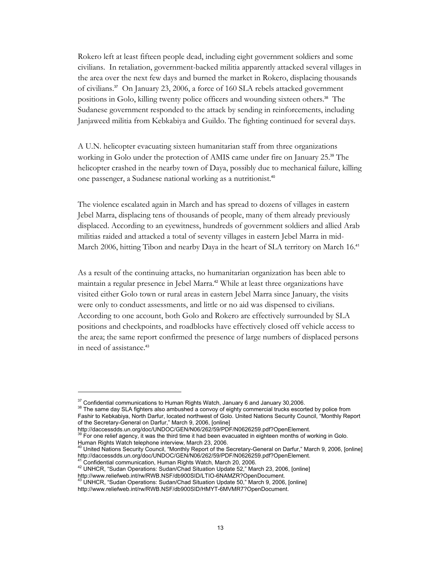Rokero left at least fifteen people dead, including eight government soldiers and some civilians. In retaliation, government-backed militia apparently attacked several villages in the area over the next few days and burned the market in Rokero, displacing thousands of civilians.37 On January 23, 2006, a force of 160 SLA rebels attacked government positions in Golo, killing twenty police officers and wounding sixteen others.<sup>38</sup> The Sudanese government responded to the attack by sending in reinforcements, including Janjaweed militia from Kebkabiya and Guildo. The fighting continued for several days.

A U.N. helicopter evacuating sixteen humanitarian staff from three organizations working in Golo under the protection of AMIS came under fire on January 25.<sup>39</sup> The helicopter crashed in the nearby town of Daya, possibly due to mechanical failure, killing one passenger, a Sudanese national working as a nutritionist.<sup>40</sup>

The violence escalated again in March and has spread to dozens of villages in eastern Jebel Marra, displacing tens of thousands of people, many of them already previously displaced. According to an eyewitness, hundreds of government soldiers and allied Arab militias raided and attacked a total of seventy villages in eastern Jebel Marra in mid-March 2006, hitting Tibon and nearby Daya in the heart of SLA territory on March 16.<sup>41</sup>

As a result of the continuing attacks, no humanitarian organization has been able to maintain a regular presence in Jebel Marra.<sup>42</sup> While at least three organizations have visited either Golo town or rural areas in eastern Jebel Marra since January, the visits were only to conduct assessments, and little or no aid was dispensed to civilians. According to one account, both Golo and Rokero are effectively surrounded by SLA positions and checkpoints, and roadblocks have effectively closed off vehicle access to the area; the same report confirmed the presence of large numbers of displaced persons in need of assistance.<sup>43</sup>

-

<sup>41</sup> Confidential communication, Human Rights Watch, March 20, 2006.<br><sup>42</sup> UNHCR, "Sudan Operations: Sudan/Chad Situation Update 52," March 23, 2006, [online] http://www.reliefweb.int/rw/RWB.NSF/db900SID/LTIO-6NAMZR?OpenDocument.<br><sup>43</sup> UNHCR, "Sudan Operations: Sudan/Chad Situation Update 50," March 9, 2006, [online]

 $37$  Confidential communications to Human Rights Watch, January 6 and January 30,2006.<br> $38$  The same day SLA fighters also ambushed a convoy of eighty commercial trucks escorted by police from Fashir to Kebkabiya, North Darfur, located northwest of Golo. United Nations Security Council, "Monthly Report of the Secretary-General on Darfur," March 9, 2006, [online]

http://daccessdds.un.org/doc/UNDOC/GEN/N06/262/59/PDF/N0626259.pdf?OpenElement.<br><sup>39</sup> For one relief agency, it was the third time it had been evacuated in eighteen months of working in Golo.

Human Rights Watch telephone interview, March 23, 2006.

<sup>&</sup>lt;sup>40</sup> United Nations Security Council, "Monthly Report of the Secretary-General on Darfur," March 9, 2006, [online] http://daccessdds.un.org/doc/UNDOC/GEN/N06/262/59/PDF/N0626259.pdf?OpenElement.

http://www.reliefweb.int/rw/RWB.NSF/db900SID/HMYT-6MVMR7?OpenDocument.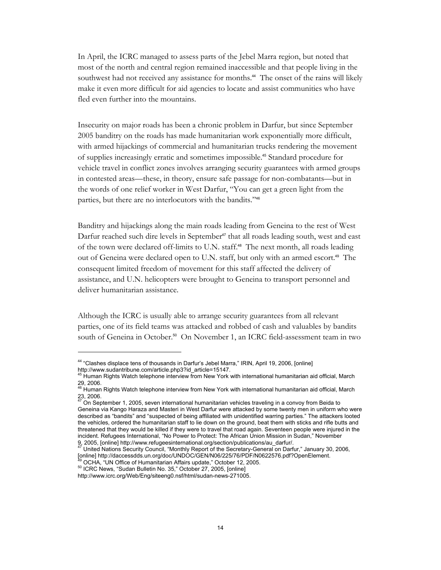In April, the ICRC managed to assess parts of the Jebel Marra region, but noted that most of the north and central region remained inaccessible and that people living in the southwest had not received any assistance for months.<sup>44</sup> The onset of the rains will likely make it even more difficult for aid agencies to locate and assist communities who have fled even further into the mountains.

Insecurity on major roads has been a chronic problem in Darfur, but since September 2005 banditry on the roads has made humanitarian work exponentially more difficult, with armed hijackings of commercial and humanitarian trucks rendering the movement of supplies increasingly erratic and sometimes impossible.45 Standard procedure for vehicle travel in conflict zones involves arranging security guarantees with armed groups in contested areas—these, in theory, ensure safe passage for non-combatants—but in the words of one relief worker in West Darfur, "You can get a green light from the parties, but there are no interlocutors with the bandits."<sup>46</sup>

Banditry and hijackings along the main roads leading from Geneina to the rest of West Darfur reached such dire levels in September<sup>47</sup> that all roads leading south, west and east of the town were declared off-limits to U.N. staff.<sup>48</sup> The next month, all roads leading out of Geneina were declared open to U.N. staff, but only with an armed escort.<sup>49</sup> The consequent limited freedom of movement for this staff affected the delivery of assistance, and U.N. helicopters were brought to Geneina to transport personnel and deliver humanitarian assistance.

Although the ICRC is usually able to arrange security guarantees from all relevant parties, one of its field teams was attacked and robbed of cash and valuables by bandits south of Geneina in October.<sup>50</sup> On November 1, an ICRC field-assessment team in two

<sup>&</sup>lt;sup>44</sup> "Clashes displace tens of thousands in Darfur's Jebel Marra," IRIN, April 19, 2006, [online]

http://www.sudantribune.com/article.php3?id\_article=15147.<br><sup>45</sup> Human Rights Watch telephone interview from New York with international humanitarian aid official, March 29, 2006.

<sup>46</sup> Human Rights Watch telephone interview from New York with international humanitarian aid official, March 23, 2006.<br><sup>47</sup> On September 1, 2005, seven international humanitarian vehicles traveling in a convoy from Beida to

Geneina via Kango Haraza and Masteri in West Darfur were attacked by some twenty men in uniform who were described as "bandits" and "suspected of being affiliated with unidentified warring parties." The attackers looted the vehicles, ordered the humanitarian staff to lie down on the ground, beat them with sticks and rifle butts and threatened that they would be killed if they were to travel that road again. Seventeen people were injured in the incident. Refugees International, "No Power to Protect: The African Union Mission in Sudan," November<br>9, 2005, [online] http://www.refugeesinternational.org/section/publications/au\_darfur/.<br><sup>47</sup> United National Security Co

<sup>9, 2005, [</sup>online] http://www.refugeesinternational.org/section/publications/au\_darfur/. 47 United Nations Security Council, "Monthly Report of the Secretary-General on Darfur," January 30, 2006, [online] http://daccessdds.un.org/doc/UNDOC/GEN/N06/225/76/PDF/N0622576.pdf?OpenElement.<br><sup>49</sup> OCHA, "UN Office of Humanitarian Affairs update," October 12, 2005.<br><sup>50</sup> ICRC News, "Sudan Bulletin No. 35," October 27, 2005, [

http://www.icrc.org/Web/Eng/siteeng0.nsf/html/sudan-news-271005.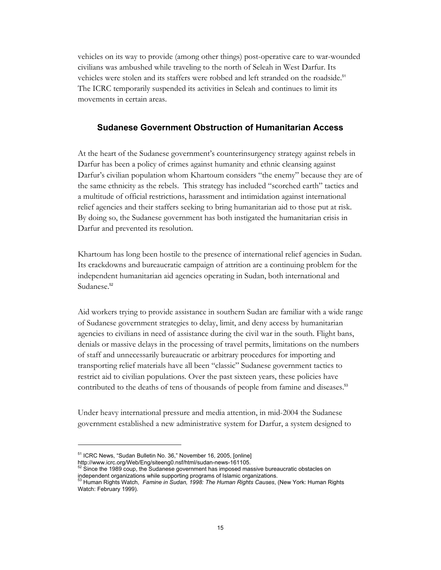vehicles on its way to provide (among other things) post-operative care to war-wounded civilians was ambushed while traveling to the north of Seleah in West Darfur. Its vehicles were stolen and its staffers were robbed and left stranded on the roadside.<sup>51</sup> The ICRC temporarily suspended its activities in Seleah and continues to limit its movements in certain areas.

#### **Sudanese Government Obstruction of Humanitarian Access**

At the heart of the Sudanese government's counterinsurgency strategy against rebels in Darfur has been a policy of crimes against humanity and ethnic cleansing against Darfur's civilian population whom Khartoum considers "the enemy" because they are of the same ethnicity as the rebels. This strategy has included "scorched earth" tactics and a multitude of official restrictions, harassment and intimidation against international relief agencies and their staffers seeking to bring humanitarian aid to those put at risk. By doing so, the Sudanese government has both instigated the humanitarian crisis in Darfur and prevented its resolution.

Khartoum has long been hostile to the presence of international relief agencies in Sudan. Its crackdowns and bureaucratic campaign of attrition are a continuing problem for the independent humanitarian aid agencies operating in Sudan, both international and Sudanese.<sup>52</sup>

Aid workers trying to provide assistance in southern Sudan are familiar with a wide range of Sudanese government strategies to delay, limit, and deny access by humanitarian agencies to civilians in need of assistance during the civil war in the south. Flight bans, denials or massive delays in the processing of travel permits, limitations on the numbers of staff and unnecessarily bureaucratic or arbitrary procedures for importing and transporting relief materials have all been "classic" Sudanese government tactics to restrict aid to civilian populations. Over the past sixteen years, these policies have contributed to the deaths of tens of thousands of people from famine and diseases.<sup>53</sup>

Under heavy international pressure and media attention, in mid-2004 the Sudanese government established a new administrative system for Darfur, a system designed to

<sup>51</sup> ICRC News, "Sudan Bulletin No. 36," November 16, 2005, [online]

http://www.icrc.org/Web/Eng/siteeng0.nsf/html/sudan-news-161105.<br><sup>52</sup> Since the 1989 coup, the Sudanese government has imposed massive bureaucratic obstacles on independent organizations while supporting programs of Islamic organizations. 53 Human Rights Watch, *Famine in Sudan, 1998: The Human Rights Causes*, (New York: Human Rights

Watch: February 1999).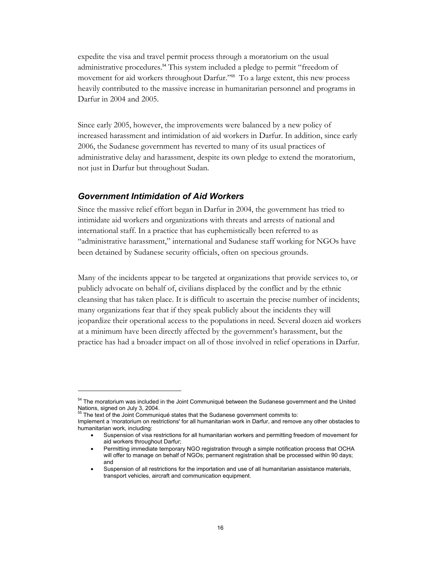expedite the visa and travel permit process through a moratorium on the usual administrative procedures.<sup>54</sup> This system included a pledge to permit "freedom of movement for aid workers throughout Darfur."55 To a large extent, this new process heavily contributed to the massive increase in humanitarian personnel and programs in Darfur in 2004 and 2005.

Since early 2005, however, the improvements were balanced by a new policy of increased harassment and intimidation of aid workers in Darfur. In addition, since early 2006, the Sudanese government has reverted to many of its usual practices of administrative delay and harassment, despite its own pledge to extend the moratorium, not just in Darfur but throughout Sudan.

#### *Government Intimidation of Aid Workers*

Since the massive relief effort began in Darfur in 2004, the government has tried to intimidate aid workers and organizations with threats and arrests of national and international staff. In a practice that has euphemistically been referred to as "administrative harassment," international and Sudanese staff working for NGOs have been detained by Sudanese security officials, often on specious grounds.

Many of the incidents appear to be targeted at organizations that provide services to, or publicly advocate on behalf of, civilians displaced by the conflict and by the ethnic cleansing that has taken place. It is difficult to ascertain the precise number of incidents; many organizations fear that if they speak publicly about the incidents they will jeopardize their operational access to the populations in need. Several dozen aid workers at a minimum have been directly affected by the government's harassment, but the practice has had a broader impact on all of those involved in relief operations in Darfur.

<sup>&</sup>lt;sup>54</sup> The moratorium was included in the Joint Communiqué between the Sudanese government and the United Nations, signed on July 3, 2004.

 $55$  The text of the Joint Communiqué states that the Sudanese government commits to:

Implement a 'moratorium on restrictions' for all humanitarian work in Darfur, and remove any other obstacles to humanitarian work, including:

<sup>•</sup> Suspension of visa restrictions for all humanitarian workers and permitting freedom of movement for aid workers throughout Darfur;

<sup>•</sup> Permitting immediate temporary NGO registration through a simple notification process that OCHA will offer to manage on behalf of NGOs; permanent registration shall be processed within 90 days; and

<sup>•</sup> Suspension of all restrictions for the importation and use of all humanitarian assistance materials, transport vehicles, aircraft and communication equipment.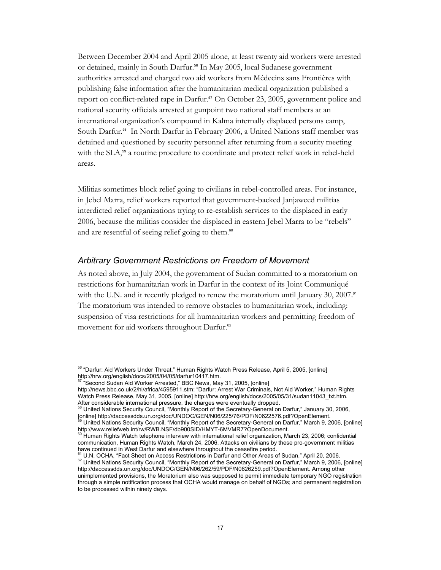Between December 2004 and April 2005 alone, at least twenty aid workers were arrested or detained, mainly in South Darfur.<sup>56</sup> In May 2005, local Sudanese government authorities arrested and charged two aid workers from Médecins sans Frontières with publishing false information after the humanitarian medical organization published a report on conflict-related rape in Darfur.<sup>57</sup> On October 23, 2005, government police and national security officials arrested at gunpoint two national staff members at an international organization's compound in Kalma internally displaced persons camp, South Darfur.58 In North Darfur in February 2006, a United Nations staff member was detained and questioned by security personnel after returning from a security meeting with the SLA,<sup>59</sup> a routine procedure to coordinate and protect relief work in rebel-held areas.

Militias sometimes block relief going to civilians in rebel-controlled areas. For instance, in Jebel Marra, relief workers reported that government-backed Janjaweed militias interdicted relief organizations trying to re-establish services to the displaced in early 2006, because the militias consider the displaced in eastern Jebel Marra to be "rebels" and are resentful of seeing relief going to them.<sup>60</sup>

#### *Arbitrary Government Restrictions on Freedom of Movement*

As noted above, in July 2004, the government of Sudan committed to a moratorium on restrictions for humanitarian work in Darfur in the context of its Joint Communiqué with the U.N. and it recently pledged to renew the moratorium until January 30, 2007.<sup>61</sup> The moratorium was intended to remove obstacles to humanitarian work, including: suspension of visa restrictions for all humanitarian workers and permitting freedom of movement for aid workers throughout Darfur.<sup>62</sup>

 $\overline{a}$ 

After considerable international pressure, the charges were eventually dropped.<br><sup>58</sup> United Nations Security Council, "Monthly Report of the Secretary-General on Darfur," January 30, 2006,<br>[online] http://daccessdds.un.org

<sup>&</sup>lt;sup>56</sup> "Darfur: Aid Workers Under Threat," Human Rights Watch Press Release, April 5, 2005, [online] http://hrw.org/english/docs/2005/04/05/darfur10417.htm.<br><sup>57</sup> "Second Sudan Aid Worker Arrested," BBC News, May 31, 2005, [online]

http://news.bbc.co.uk/2/hi/africa/4595911.stm; "Darfur: Arrest War Criminals, Not Aid Worker," Human Rights Watch Press Release, May 31, 2005, [online] http://hrw.org/english/docs/2005/05/31/sudan11043\_txt.htm.

United Nations Security Council, "Monthly Report of the Secretary-General on Darfur," March 9, 2006, [online] http://www.reliefweb.int/rw/RWB.NSF/db900SID/HMYT-6MVMR7?OpenDocument.

<sup>&</sup>lt;sup>60</sup> Human Rights Watch telephone interview with international relief organization, March 23, 2006; confidential communication, Human Rights Watch, March 24, 2006. Attacks on civilians by these pro-government militias

have continued in West Darfur and elsewhere throughout the ceasefire period.<br><sup>61</sup> U.N. OCHA, "Fact Sheet on Access Restrictions in Darfur and Other Areas of Sudan," April 20, 2006.<br><sup>62</sup> United Nations Security Council, "Mo http://daccessdds.un.org/doc/UNDOC/GEN/N06/262/59/PDF/N0626259.pdf?OpenElement. Among other unimplemented provisions, the Moratorium also was supposed to permit immediate temporary NGO registration through a simple notification process that OCHA would manage on behalf of NGOs; and permanent registration to be processed within ninety days.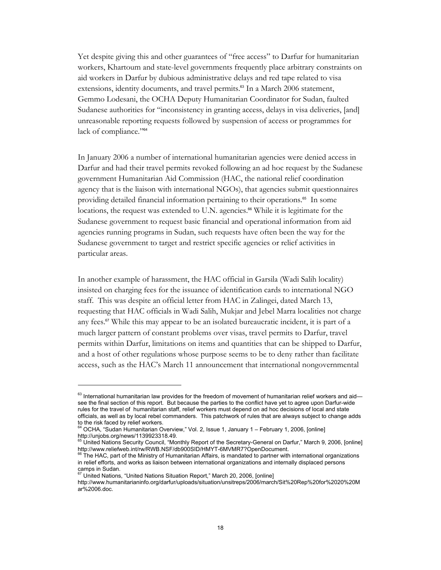Yet despite giving this and other guarantees of "free access" to Darfur for humanitarian workers, Khartoum and state-level governments frequently place arbitrary constraints on aid workers in Darfur by dubious administrative delays and red tape related to visa extensions, identity documents, and travel permits.<sup>63</sup> In a March 2006 statement, Gemmo Lodesani, the OCHA Deputy Humanitarian Coordinator for Sudan, faulted Sudanese authorities for "inconsistency in granting access, delays in visa deliveries, [and] unreasonable reporting requests followed by suspension of access or programmes for lack of compliance."<sup>64</sup>

In January 2006 a number of international humanitarian agencies were denied access in Darfur and had their travel permits revoked following an ad hoc request by the Sudanese government Humanitarian Aid Commission (HAC, the national relief coordination agency that is the liaison with international NGOs), that agencies submit questionnaires providing detailed financial information pertaining to their operations.<sup>65</sup> In some locations, the request was extended to U.N. agencies.<sup>66</sup> While it is legitimate for the Sudanese government to request basic financial and operational information from aid agencies running programs in Sudan, such requests have often been the way for the Sudanese government to target and restrict specific agencies or relief activities in particular areas.

In another example of harassment, the HAC official in Garsila (Wadi Salih locality) insisted on charging fees for the issuance of identification cards to international NGO staff. This was despite an official letter from HAC in Zalingei, dated March 13, requesting that HAC officials in Wadi Salih, Mukjar and Jebel Marra localities not charge any fees.67 While this may appear to be an isolated bureaucratic incident, it is part of a much larger pattern of constant problems over visas, travel permits to Darfur, travel permits within Darfur, limitations on items and quantities that can be shipped to Darfur, and a host of other regulations whose purpose seems to be to deny rather than facilitate access, such as the HAC's March 11 announcement that international nongovernmental

 $63$  International humanitarian law provides for the freedom of movement of humanitarian relief workers and aidsee the final section of this report. But because the parties to the conflict have yet to agree upon Darfur-wide rules for the travel of humanitarian staff, relief workers must depend on ad hoc decisions of local and state officials, as well as by local rebel commanders. This patchwork of rules that are always subject to change adds

to the risk faced by relief workers.<br><sup>64</sup> OCHA, "Sudan Humanitarian Overview," Vol. 2, Issue 1, January 1 – February 1, 2006, [online] http://unjobs.org/news/1139923318.49.

<sup>65</sup> United Nations Security Council, "Monthly Report of the Secretary-General on Darfur," March 9, 2006, [online] http://www.reliefweb.int/rw/RWB.NSF/db900SID/HMYT-6MVMR7?OpenDocument.<br><sup>66</sup> The HAC, part of the Ministry of Humanitarian Affairs, is mandated to partner with international organizations

in relief efforts, and works as liaison between international organizations and internally displaced persons

camps in Sudan.<br><sup>67</sup> United Nations, "United Nations Situation Report," March 20, 2006, [online]

http://www.humanitarianinfo.org/darfur/uploads/situation/unsitreps/2006/march/Sit%20Rep%20for%2020%20M ar%2006.doc.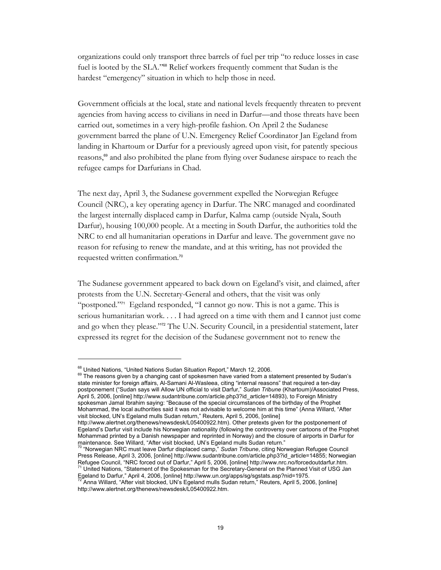organizations could only transport three barrels of fuel per trip "to reduce losses in case fuel is looted by the SLA."68 Relief workers frequently comment that Sudan is the hardest "emergency" situation in which to help those in need.

Government officials at the local, state and national levels frequently threaten to prevent agencies from having access to civilians in need in Darfur—and those threats have been carried out, sometimes in a very high-profile fashion. On April 2 the Sudanese government barred the plane of U.N. Emergency Relief Coordinator Jan Egeland from landing in Khartoum or Darfur for a previously agreed upon visit, for patently specious reasons,<sup>69</sup> and also prohibited the plane from flying over Sudanese airspace to reach the refugee camps for Darfurians in Chad.

The next day, April 3, the Sudanese government expelled the Norwegian Refugee Council (NRC), a key operating agency in Darfur. The NRC managed and coordinated the largest internally displaced camp in Darfur, Kalma camp (outside Nyala, South Darfur), housing 100,000 people. At a meeting in South Darfur, the authorities told the NRC to end all humanitarian operations in Darfur and leave. The government gave no reason for refusing to renew the mandate, and at this writing, has not provided the requested written confirmation.<sup>70</sup>

The Sudanese government appeared to back down on Egeland's visit, and claimed, after protests from the U.N. Secretary-General and others, that the visit was only "postponed."<sup>71</sup> Egeland responded, "I cannot go now. This is not a game. This is serious humanitarian work. . . . I had agreed on a time with them and I cannot just come and go when they please."72 The U.N. Security Council, in a presidential statement, later expressed its regret for the decision of the Sudanese government not to renew the

 $\overline{a}$ 

 $^{68}$  United Nations, "United Nations Sudan Situation Report," March 12, 2006.<br> $^{69}$  The reasons given by a changing cast of spokesmen have varied from a statement presented by Sudan's state minister for foreign affairs, Al-Samani Al-Wasleea, citing "internal reasons" that required a ten-day postponement ("Sudan says will Allow UN official to visit Darfur," *Sudan Tribune* (Khartoum)/Associated Press, April 5, 2006, [online] http://www.sudantribune.com/article.php3?id\_article=14893), to Foreign Ministry spokesman Jamal Ibrahim saying: "Because of the special circumstances of the birthday of the Prophet Mohammad, the local authorities said it was not advisable to welcome him at this time" (Anna Willard, "After visit blocked, UN's Egeland mulls Sudan return," Reuters, April 5, 2006, [online]

http://www.alertnet.org/thenews/newsdesk/L05400922.htm). Other pretexts given for the postponement of Egeland's Darfur visit include his Norwegian nationality (following the controversy over cartoons of the Prophet Mohammad printed by a Danish newspaper and reprinted in Norway) and the closure of airports in Darfur for maintenance. See Willard, "After visit blocked, UN's Egeland mulls Sudan return."<br><sup>70</sup> "Norwegian NRC must leave Darfur displaced camp," *Sudan Tribune*, citing Norwegian Refugee Council

Press Release, April 3, 2006, [online] http://www.sudantribune.com/article.php3?id\_article=14855; Norwegian Refugee Council, "NRC forced out of Darfur," April 5, 2006, [online] http://www.nrc.no/forcedoutdarfur.htm.<br><sup>71</sup> United Nations, "Statement of the Spokesman for the Secretary-General on the Planned Visit of USG Jan

Egeland to Darfur," April 4, 2006, [online] http://www.un.org/apps/sg/sgstats.asp?nid=1975.<br>7<sup>2</sup> Anna Willard, "After visit blocked, UN's Egeland mulls Sudan return," Reuters, April 5, 2006, [online]

http://www.alertnet.org/thenews/newsdesk/L05400922.htm.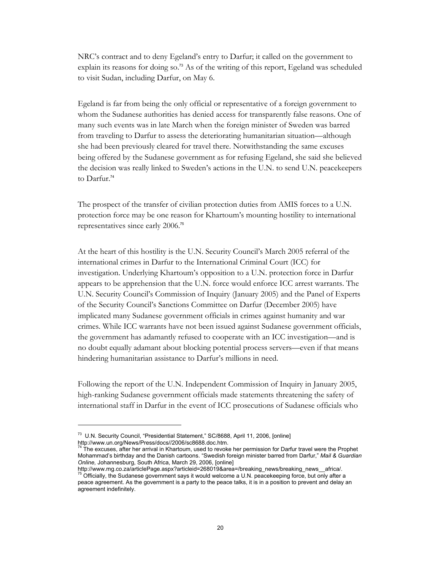NRC's contract and to deny Egeland's entry to Darfur; it called on the government to explain its reasons for doing so.<sup>73</sup> As of the writing of this report, Egeland was scheduled to visit Sudan, including Darfur, on May 6.

Egeland is far from being the only official or representative of a foreign government to whom the Sudanese authorities has denied access for transparently false reasons. One of many such events was in late March when the foreign minister of Sweden was barred from traveling to Darfur to assess the deteriorating humanitarian situation—although she had been previously cleared for travel there. Notwithstanding the same excuses being offered by the Sudanese government as for refusing Egeland, she said she believed the decision was really linked to Sweden's actions in the U.N. to send U.N. peacekeepers to Darfur.<sup>74</sup>

The prospect of the transfer of civilian protection duties from AMIS forces to a U.N. protection force may be one reason for Khartoum's mounting hostility to international representatives since early 2006.<sup>75</sup>

At the heart of this hostility is the U.N. Security Council's March 2005 referral of the international crimes in Darfur to the International Criminal Court (ICC) for investigation. Underlying Khartoum's opposition to a U.N. protection force in Darfur appears to be apprehension that the U.N. force would enforce ICC arrest warrants. The U.N. Security Council's Commission of Inquiry (January 2005) and the Panel of Experts of the Security Council's Sanctions Committee on Darfur (December 2005) have implicated many Sudanese government officials in crimes against humanity and war crimes. While ICC warrants have not been issued against Sudanese government officials, the government has adamantly refused to cooperate with an ICC investigation—and is no doubt equally adamant about blocking potential process servers—even if that means hindering humanitarian assistance to Darfur's millions in need.

Following the report of the U.N. Independent Commission of Inquiry in January 2005, high-ranking Sudanese government officials made statements threatening the safety of international staff in Darfur in the event of ICC prosecutions of Sudanese officials who

<sup>&</sup>lt;sup>73</sup> U.N. Security Council, "Presidential Statement," SC/8688, April 11, 2006, [online] http://www.un.org/News/Press/docs//2006/sc8688.doc.htm.

The excuses, after her arrival in Khartoum, used to revoke her permission for Darfur travel were the Prophet Mohammad's birthday and the Danish cartoons. "Swedish foreign minister barred from Darfur," *Mail & Guardian Online,* Johannesburg, South Africa, March 29, 2006, [online]

http://www.mg.co.za/articlePage.aspx?articleid=268019&area=/breaking\_news/breaking\_news\_\_africa/.<br><sup>75</sup> Officially, the Sudanese government says it would welcome a U.N. peacekeeping force, but only after a peace agreement. As the government is a party to the peace talks, it is in a position to prevent and delay an agreement indefinitely.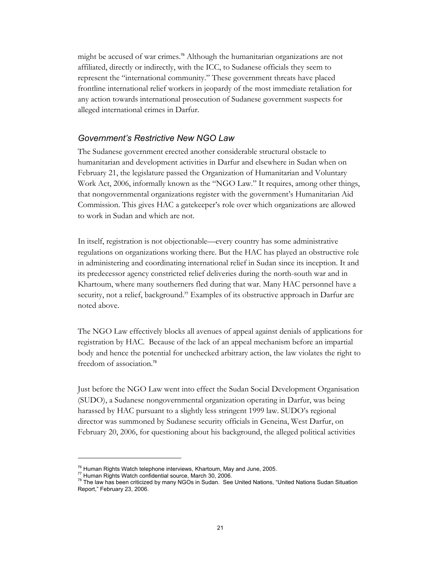might be accused of war crimes.<sup>76</sup> Although the humanitarian organizations are not affiliated, directly or indirectly, with the ICC, to Sudanese officials they seem to represent the "international community." These government threats have placed frontline international relief workers in jeopardy of the most immediate retaliation for any action towards international prosecution of Sudanese government suspects for alleged international crimes in Darfur.

#### *Government's Restrictive New NGO Law*

The Sudanese government erected another considerable structural obstacle to humanitarian and development activities in Darfur and elsewhere in Sudan when on February 21, the legislature passed the Organization of Humanitarian and Voluntary Work Act, 2006, informally known as the "NGO Law." It requires, among other things, that nongovernmental organizations register with the government's Humanitarian Aid Commission. This gives HAC a gatekeeper's role over which organizations are allowed to work in Sudan and which are not.

In itself, registration is not objectionable—every country has some administrative regulations on organizations working there. But the HAC has played an obstructive role in administering and coordinating international relief in Sudan since its inception. It and its predecessor agency constricted relief deliveries during the north-south war and in Khartoum, where many southerners fled during that war. Many HAC personnel have a security, not a relief, background.<sup>77</sup> Examples of its obstructive approach in Darfur are noted above.

The NGO Law effectively blocks all avenues of appeal against denials of applications for registration by HAC. Because of the lack of an appeal mechanism before an impartial body and hence the potential for unchecked arbitrary action, the law violates the right to freedom of association.<sup>78</sup>

Just before the NGO Law went into effect the Sudan Social Development Organisation (SUDO), a Sudanese nongovernmental organization operating in Darfur, was being harassed by HAC pursuant to a slightly less stringent 1999 law. SUDO's regional director was summoned by Sudanese security officials in Geneina, West Darfur, on February 20, 2006, for questioning about his background, the alleged political activities

<sup>&</sup>lt;sup>76</sup> Human Rights Watch telephone interviews, Khartoum, May and June, 2005.<br><sup>77</sup> Human Rights Watch confidential source, March 30, 2006.<br><sup>78</sup> The law has been criticized by many NGOs in Sudan. See United Nations, "United Report," February 23, 2006.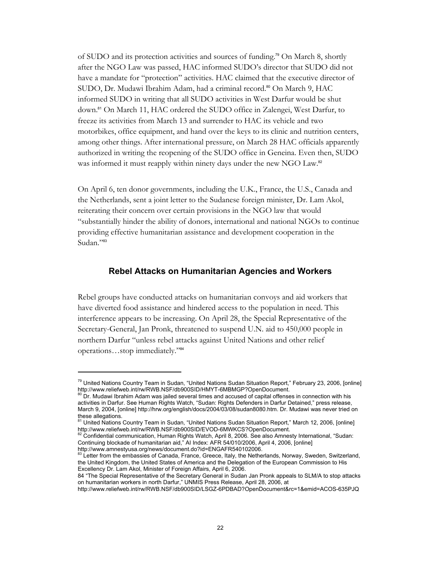of SUDO and its protection activities and sources of funding.79 On March 8, shortly after the NGO Law was passed, HAC informed SUDO's director that SUDO did not have a mandate for "protection" activities. HAC claimed that the executive director of SUDO, Dr. Mudawi Ibrahim Adam, had a criminal record.<sup>80</sup> On March 9, HAC informed SUDO in writing that all SUDO activities in West Darfur would be shut down.81 On March 11, HAC ordered the SUDO office in Zalengei, West Darfur, to freeze its activities from March 13 and surrender to HAC its vehicle and two motorbikes, office equipment, and hand over the keys to its clinic and nutrition centers, among other things. After international pressure, on March 28 HAC officials apparently authorized in writing the reopening of the SUDO office in Geneina. Even then, SUDO was informed it must reapply within ninety days under the new NGO Law.<sup>82</sup>

On April 6, ten donor governments, including the U.K., France, the U.S., Canada and the Netherlands, sent a joint letter to the Sudanese foreign minister, Dr. Lam Akol, reiterating their concern over certain provisions in the NGO law that would "substantially hinder the ability of donors, international and national NGOs to continue providing effective humanitarian assistance and development cooperation in the Sudan."83

#### **Rebel Attacks on Humanitarian Agencies and Workers**

Rebel groups have conducted attacks on humanitarian convoys and aid workers that have diverted food assistance and hindered access to the population in need. This interference appears to be increasing. On April 28, the Special Representative of the Secretary-General, Jan Pronk, threatened to suspend U.N. aid to 450,000 people in northern Darfur "unless rebel attacks against United Nations and other relief operations…stop immediately."<sup>84</sup>

<sup>&</sup>lt;sup>79</sup> United Nations Country Team in Sudan, "United Nations Sudan Situation Report," February 23, 2006, [online] http://www.reliefweb.int/rw/RWB.NSF/db900SID/HMYT-6MBMGP?OpenDocument.

Dr. Mudawi Ibrahim Adam was jailed several times and accused of capital offenses in connection with his activities in Darfur. See Human Rights Watch, "Sudan: Rights Defenders in Darfur Detained," press release, March 9, 2004, [online] http://hrw.org/english/docs/2004/03/08/sudan8080.htm. Dr. Mudawi was never tried on

these allegations.<br><sup>81</sup> United Nations Country Team in Sudan, "United Nations Sudan Situation Report," March 12, 2006, [online]

http://www.reliefweb.int/rw/RWB.NSF/db900SID/EVOD-6MWKCS?OpenDocument.<br><sup>82</sup> Confidential communication, Human Rights Watch, April 8, 2006. See also Amnesty International, "Sudan: Continuing blockade of humanitarian aid," AI Index: AFR 54/010/2006, April 4, 2006, [online]

http://www.amnestyusa.org/news/document.do?id=ENGAFR540102006.<br><sup>83</sup> Letter from the embassies of Canada, France, Greece, Italy, the Netherlands, Norway, Sweden, Switzerland, the United Kingdom, the United States of America and the Delegation of the European Commission to His Excellency Dr. Lam Akol, Minister of Foreign Affairs, April 6, 2006.

<sup>84 &</sup>quot;The Special Representative of the Secretary General in Sudan Jan Pronk appeals to SLM/A to stop attacks on humanitarian workers in north Darfur," UNMIS Press Release, April 28, 2006, at

http://www.reliefweb.int/rw/RWB.NSF/db900SID/LSGZ-6PDBAD?OpenDocument&rc=1&emid=ACOS-635PJQ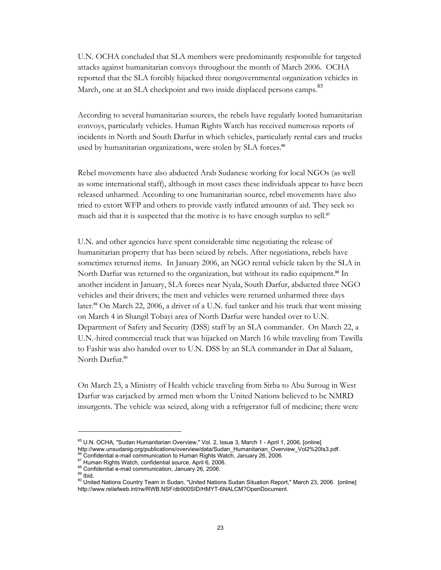U.N. OCHA concluded that SLA members were predominantly responsible for targeted attacks against humanitarian convoys throughout the month of March 2006. OCHA reported that the SLA forcibly hijacked three nongovernmental organization vehicles in March, one at an SLA checkpoint and two inside displaced persons camps.<sup>85</sup>

According to several humanitarian sources, the rebels have regularly looted humanitarian convoys, particularly vehicles. Human Rights Watch has received numerous reports of incidents in North and South Darfur in which vehicles, particularly rental cars and trucks used by humanitarian organizations, were stolen by SLA forces.<sup>86</sup>

Rebel movements have also abducted Arab Sudanese working for local NGOs (as well as some international staff), although in most cases these individuals appear to have been released unharmed. According to one humanitarian source, rebel movements have also tried to extort WFP and others to provide vastly inflated amounts of aid. They seek so much aid that it is suspected that the motive is to have enough surplus to sell.<sup>87</sup>

U.N. and other agencies have spent considerable time negotiating the release of humanitarian property that has been seized by rebels. After negotiations, rebels have sometimes returned items. In January 2006, an NGO rental vehicle taken by the SLA in North Darfur was returned to the organization, but without its radio equipment.<sup>88</sup> In another incident in January, SLA forces near Nyala, South Darfur, abducted three NGO vehicles and their drivers; the men and vehicles were returned unharmed three days later.<sup>89</sup> On March 22, 2006, a driver of a U.N. fuel tanker and his truck that went missing on March 4 in Shangil Tobayi area of North Darfur were handed over to U.N. Department of Safety and Security (DSS) staff by an SLA commander. On March 22, a U.N.-hired commercial truck that was hijacked on March 16 while traveling from Tawilla to Fashir was also handed over to U.N. DSS by an SLA commander in Dar al Salaam, North Darfur.<sup>90</sup>

On March 23, a Ministry of Health vehicle traveling from Sirba to Abu Suroug in West Darfur was carjacked by armed men whom the United Nations believed to be NMRD insurgents. The vehicle was seized, along with a refrigerator full of medicine; there were

<sup>&</sup>lt;sup>85</sup> U.N. OCHA, "Sudan Humanitarian Overview," Vol. 2, Issue 3, March 1 - April 1, 2006, [online]<br>http://www.unsudanig.org/publications/overview/data/Sudan\_Humanitarian\_Overview\_Vol2%20ls3.pdf.

<sup>&</sup>lt;sup>86</sup> Confidential e-mail communication to Human Rights Watch, January 26, 2006.<br><sup>87</sup> Human Rights Watch, confidential source, April 6, 2006.<br><sup>88</sup> Confidential e-mail communication, January 26, 2006.<br><sup>89</sup> United Nations Cou http://www.reliefweb.int/rw/RWB.NSF/db900SID/HMYT-6NALCM?OpenDocument.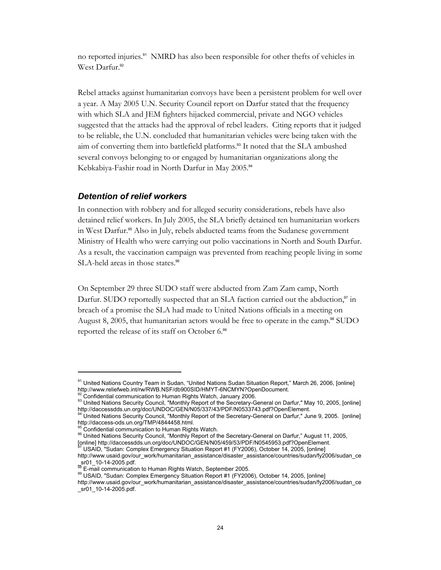no reported injuries.<sup>91</sup> NMRD has also been responsible for other thefts of vehicles in West Darfur.<sup>92</sup>

Rebel attacks against humanitarian convoys have been a persistent problem for well over a year. A May 2005 U.N. Security Council report on Darfur stated that the frequency with which SLA and JEM fighters hijacked commercial, private and NGO vehicles suggested that the attacks had the approval of rebel leaders. Citing reports that it judged to be reliable, the U.N. concluded that humanitarian vehicles were being taken with the aim of converting them into battlefield platforms.<sup>93</sup> It noted that the SLA ambushed several convoys belonging to or engaged by humanitarian organizations along the Kebkabiya-Fashir road in North Darfur in May 2005.<sup>94</sup>

#### *Detention of relief workers*

In connection with robbery and for alleged security considerations, rebels have also detained relief workers. In July 2005, the SLA briefly detained ten humanitarian workers in West Darfur.95 Also in July, rebels abducted teams from the Sudanese government Ministry of Health who were carrying out polio vaccinations in North and South Darfur. As a result, the vaccination campaign was prevented from reaching people living in some SLA-held areas in those states.<sup>96</sup>

On September 29 three SUDO staff were abducted from Zam Zam camp, North Darfur. SUDO reportedly suspected that an SLA faction carried out the abduction,<sup>97</sup> in breach of a promise the SLA had made to United Nations officials in a meeting on August 8, 2005, that humanitarian actors would be free to operate in the camp.<sup>98</sup> SUDO reported the release of its staff on October 6.<sup>99</sup>

<sup>91</sup> United Nations Country Team in Sudan, "United Nations Sudan Situation Report," March 26, 2006, [online] http://www.reliefweb.int/rw/RWB.NSF/db900SID/HMYT-6NCMYN?OpenDocument.<br><sup>92</sup> Confidential communication to Human Rights Watch, January 2006.

<sup>&</sup>lt;sup>92</sup> Confidential communication to Human Rights Watch, January 2006.<br><sup>93</sup> United Nations Security Council, "Monthly Report of the Secretary-General on Darfur," May 10, 2005, [online] http://daccessdds.un.org/doc/UNDOC/GEN/N05/337/43/PDF/N0533743.pdf?OpenElement.<br><sup>94</sup> United Nations Security Council, "Monthly Report of the Secretary-General on Darfur," June 9, 2005. [online]

http://daccess-ods.un.org/TMP/4844458.html.<br>
<sup>95</sup> Confidential communication to Human Rights Watch.

<sup>&</sup>lt;sup>96</sup> United Nations Security Council, "Monthly Report of the Secretary-General on Darfur," August 11, 2005,

<sup>[</sup>online] http://daccessdds.un.org/doc/UNDOC/GEN/N05/459/53/PDF/N0545953.pdf?OpenElement.<br><sup>97</sup> USAID, "Sudan: Complex Emergency Situation Report #1 (FY2006), October 14, 2005, [online]

http://www.usaid.gov/our\_work/humanitarian\_assistance/disaster\_assistance/countries/sudan/fy2006/sudan\_ce  $_{\infty}$ sr01\_10-14-2005.pdf.<br> $_{\infty}$ E-mail communication to Human Rights Watch, September 2005.

<sup>99</sup> USAID, "Sudan: Complex Emergency Situation Report #1 (FY2006), October 14, 2005, [online] http://www.usaid.gov/our\_work/humanitarian\_assistance/disaster\_assistance/countries/sudan/fy2006/sudan\_ce \_sr01\_10-14-2005.pdf.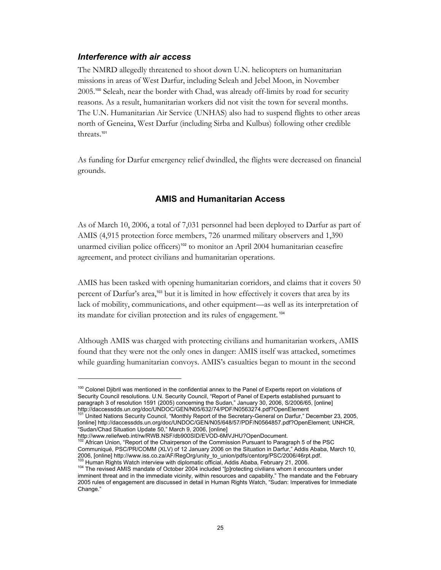#### *Interference with air access*

The NMRD allegedly threatened to shoot down U.N. helicopters on humanitarian missions in areas of West Darfur, including Seleah and Jebel Moon, in November 2005.100 Seleah, near the border with Chad, was already off-limits by road for security reasons. As a result, humanitarian workers did not visit the town for several months. The U.N. Humanitarian Air Service (UNHAS) also had to suspend flights to other areas north of Geneina, West Darfur (including Sirba and Kulbus) following other credible threats.<sup>101</sup>

As funding for Darfur emergency relief dwindled, the flights were decreased on financial grounds.

#### **AMIS and Humanitarian Access**

As of March 10, 2006, a total of 7,031 personnel had been deployed to Darfur as part of AMIS (4,915 protection force members, 726 unarmed military observers and 1,390 unarmed civilian police officers)<sup>102</sup> to monitor an April 2004 humanitarian ceasefire agreement, and protect civilians and humanitarian operations.

AMIS has been tasked with opening humanitarian corridors, and claims that it covers 50 percent of Darfur's area,<sup>103</sup> but it is limited in how effectively it covers that area by its lack of mobility, communications, and other equipment—as well as its interpretation of its mandate for civilian protection and its rules of engagement.<sup>104</sup>

Although AMIS was charged with protecting civilians and humanitarian workers, AMIS found that they were not the only ones in danger: AMIS itself was attacked, sometimes while guarding humanitarian convoys. AMIS's casualties began to mount in the second

<sup>&</sup>lt;sup>100</sup> Colonel Djibril was mentioned in the confidential annex to the Panel of Experts report on violations of Security Council resolutions. U.N. Security Council, "Report of Panel of Experts established pursuant to paragraph 3 of resolution 1591 (2005) concerning the Sudan," January 30, 2006, S/2006/65, [online]

http://daccessdds.un.org/doc/UNDOC/GEN/N05/632/74/PDF/N0563274.pdf?OpenElement<br><sup>101</sup> United Nations Security Council, "Monthly Report of the Secretary-General on Darfur," December 23, 2005, [online] http://daccessdds.un.org/doc/UNDOC/GEN/N05/648/57/PDF/N0564857.pdf?OpenElement; UNHCR, "Sudan/Chad Situation Update 50," March 9, 2006, [online]

http://www.reliefweb.int/rw/RWB.NSF/db900SID/EVOD-6MVJHU?OpenDocument.

African Union, "Report of the Chairperson of the Commission Pursuant to Paragraph 5 of the PSC Communiqué, PSC/PR/COMM (XLV) of 12 January 2006 on the Situation in Darfur," Addis Ababa, March 10, 2006, [online] http://www.iss.co.za/AF/RegOrg/unity\_to\_union/pdfs/centorg/PSC/2006/46rpt.pdf.<br><sup>103</sup> Human Rights Watch interview with diplomatic official, Addis Ababa, February 21, 2006.

<sup>104</sup> The revised AMIS mandate of October 2004 included "[p]rotecting civilians whom it encounters under imminent threat and in the immediate vicinity, within resources and capability." The mandate and the February 2005 rules of engagement are discussed in detail in Human Rights Watch, "Sudan: Imperatives for Immediate Change."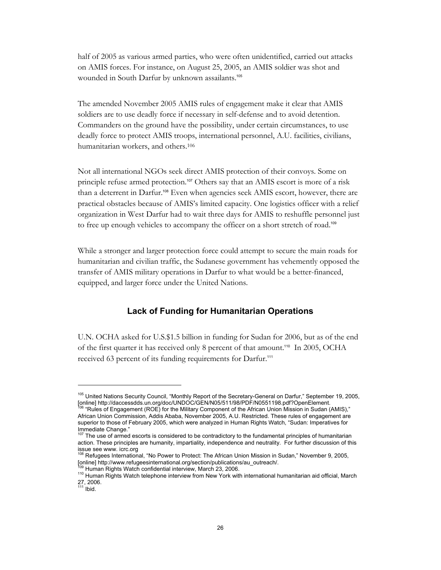half of 2005 as various armed parties, who were often unidentified, carried out attacks on AMIS forces. For instance, on August 25, 2005, an AMIS soldier was shot and wounded in South Darfur by unknown assailants.<sup>105</sup>

The amended November 2005 AMIS rules of engagement make it clear that AMIS soldiers are to use deadly force if necessary in self-defense and to avoid detention. Commanders on the ground have the possibility, under certain circumstances, to use deadly force to protect AMIS troops, international personnel, A.U. facilities, civilians, humanitarian workers, and others.106

Not all international NGOs seek direct AMIS protection of their convoys. Some on principle refuse armed protection.<sup>107</sup> Others say that an AMIS escort is more of a risk than a deterrent in Darfur.108 Even when agencies seek AMIS escort, however, there are practical obstacles because of AMIS's limited capacity. One logistics officer with a relief organization in West Darfur had to wait three days for AMIS to reshuffle personnel just to free up enough vehicles to accompany the officer on a short stretch of road.<sup>109</sup>

While a stronger and larger protection force could attempt to secure the main roads for humanitarian and civilian traffic, the Sudanese government has vehemently opposed the transfer of AMIS military operations in Darfur to what would be a better-financed, equipped, and larger force under the United Nations.

#### **Lack of Funding for Humanitarian Operations**

U.N. OCHA asked for U.S.\$1.5 billion in funding for Sudan for 2006, but as of the end of the first quarter it has received only 8 percent of that amount.<sup>110</sup> In 2005, OCHA received 63 percent of its funding requirements for Darfur.<sup>111</sup>

<sup>&</sup>lt;sup>105</sup> United Nations Security Council, "Monthly Report of the Secretary-General on Darfur," September 19, 2005,<br>[online] http://daccessdds.un.org/doc/UNDOC/GEN/N05/511/98/PDF/N0551198.pdf?OpenElement.

 $^{06}$  "Rules of Engagement (ROE) for the Military Component of the African Union Mission in Sudan (AMIS)," African Union Commission, Addis Ababa, November 2005, A.U. Restricted. These rules of engagement are superior to those of February 2005, which were analyzed in Human Rights Watch, "Sudan: Imperatives for Immediate Change."

<sup>&</sup>lt;sup>107</sup> The use of armed escorts is considered to be contradictory to the fundamental principles of humanitarian action. These principles are humanity, impartiality, independence and neutrality. For further discussion of this issue see www. icrc.org<br><sup>108</sup> Refugees International, "No Power to Protect: The African Union Mission in Sudan," November 9, 2005,

<sup>[</sup>online] http://www.refugeesinternational.org/section/publications/au\_outreach/.<br><sup>109</sup> Human Rights Watch confidential interview, March 23, 2006.<br><sup>110</sup> Human Rights Watch telephone interview from New York with internationa

<sup>27, 2006.&</sup>lt;br><sup>111</sup> Ibid.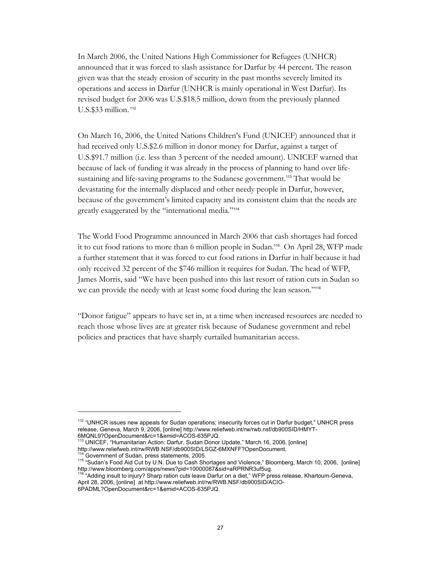In March 2006, the United Nations High Commissioner for Refugees (UNHCR) announced that it was forced to slash assistance for Darfur by 44 percent. The reason given was that the steady erosion of security in the past months severely limited its operations and access in Darfur (UNHCR is mainly operational in West Darfur). Its revised budget for 2006 was U.S.\$18.5 million, down from the previously planned U.S.\$33 million.<sup>112</sup>

On March 16, 2006, the United Nations Children's Fund (UNICEF) announced that it had received only U.S.\$2.6 million in donor money for Darfur, against a target of U.S.\$91.7 million (i.e. less than 3 percent of the needed amount). UNICEF warned that because of lack of funding it was already in the process of planning to hand over lifesustaining and life-saving programs to the Sudanese government.<sup>113</sup> That would be devastating for the internally displaced and other needy people in Darfur, however, because of the government's limited capacity and its consistent claim that the needs are greatly exaggerated by the "international media."<sup>114</sup>

The World Food Programme announced in March 2006 that cash shortages had forced it to cut food rations to more than 6 million people in Sudan.115 On April 28, WFP made a further statement that it was forced to cut food rations in Darfur in half because it had only received 32 percent of the \$746 million it requires for Sudan. The head of WFP, James Morris, said "We have been pushed into this last resort of ration cuts in Sudan so we can provide the needy with at least some food during the lean season."<sup>116</sup>

"Donor fatigue" appears to have set in, at a time when increased resources are needed to reach those whose lives are at greater risk because of Sudanese government and rebel policies and practices that have sharply curtailed humanitarian access.

<sup>&</sup>lt;sup>112</sup> "UNHCR issues new appeals for Sudan operations; insecurity forces cut in Darfur budget," UNHCR press release, Geneva, March 9, 2006, [online] http://www.reliefweb.int/rw/rwb.nsf/db900SID/HMYT-6MQNL9?OpenDocument&rc=1&emid=ACOS-635PJQ.

<sup>113</sup> UNICEF, "Humanitarian Action: Darfur, Sudan Donor Update," March 16, 2006, [online] http://www.reliefweb.int/rw/RWB.NSF/db900SID/LSGZ-6MXNFF?OpenDocument.

<sup>115 &</sup>quot;Sudan's Food Aid Cut by U.N. Due to Cash Shortages and Violence," Bloomberg, March 10, 2006, [online]<br>http://www.bloomberg.com/apps/news?pid=10000087&sid=aRPRNR3uf5ug.

<sup>&</sup>quot;Adding insult to injury? Sharp ration cuts leave Darfur on a diet," WFP press release, Khartoum-Geneva, April 28, 2006, [online] at http://www.reliefweb.int/rw/RWB.NSF/db900SID/ACIO-

<sup>6</sup>PADML?OpenDocument&rc=1&emid=ACOS-635PJQ.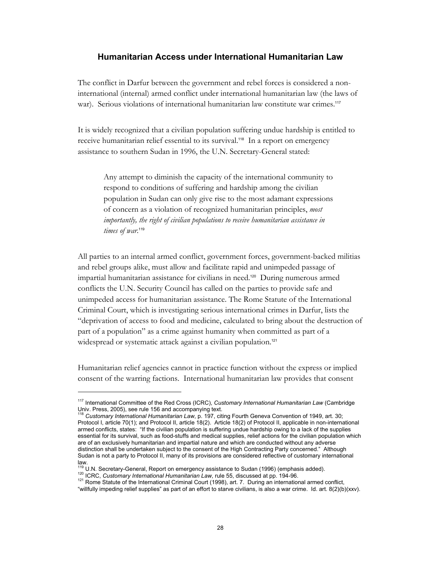#### **Humanitarian Access under International Humanitarian Law**

The conflict in Darfur between the government and rebel forces is considered a noninternational (internal) armed conflict under international humanitarian law (the laws of war). Serious violations of international humanitarian law constitute war crimes.<sup>117</sup>

It is widely recognized that a civilian population suffering undue hardship is entitled to receive humanitarian relief essential to its survival.118 In a report on emergency assistance to southern Sudan in 1996, the U.N. Secretary-General stated:

Any attempt to diminish the capacity of the international community to respond to conditions of suffering and hardship among the civilian population in Sudan can only give rise to the most adamant expressions of concern as a violation of recognized humanitarian principles, *most importantly, the right of civilian populations to receive humanitarian assistance in*  times of war.<sup>119</sup>

All parties to an internal armed conflict, government forces, government-backed militias and rebel groups alike, must allow and facilitate rapid and unimpeded passage of impartial humanitarian assistance for civilians in need.120 During numerous armed conflicts the U.N. Security Council has called on the parties to provide safe and unimpeded access for humanitarian assistance. The Rome Statute of the International Criminal Court, which is investigating serious international crimes in Darfur, lists the "deprivation of access to food and medicine, calculated to bring about the destruction of part of a population" as a crime against humanity when committed as part of a widespread or systematic attack against a civilian population.<sup>121</sup>

Humanitarian relief agencies cannot in practice function without the express or implied consent of the warring factions. International humanitarian law provides that consent

<sup>117</sup> International Committee of the Red Cross (ICRC), *Customary International Humanitarian Law* (Cambridge Univ. Press, 2005), see rule 156 and accompanying text.

<sup>118</sup> *Customary International Humanitarian Law*, p. 197, citing Fourth Geneva Convention of 1949, art. 30; Protocol I, article 70(1); and Protocol II, article 18(2). Article 18(2) of Protocol II, applicable in non-international armed conflicts, states: "If the civilian population is suffering undue hardship owing to a lack of the supplies essential for its survival, such as food-stuffs and medical supplies, relief actions for the civilian population which are of an exclusively humanitarian and impartial nature and which are conducted without any adverse distinction shall be undertaken subject to the consent of the High Contracting Party concerned." Although Sudan is not a party to Protocol II, many of its provisions are considered reflective of customary international law.<br><sup>119</sup> U.N. Secretary-General, Report on emergency assistance to Sudan (1996) (emphasis added).<br><sup>120</sup> ICRC, *Customary International Humanitarian Law*, rule 55, discussed at pp. 194-96.<br><sup>121</sup> Rome Statute of the Intern

<sup>&</sup>lt;sup>121</sup> Rome Statute of the International Criminal Court (1998), art. 7. During an international armed conflict, willfully impeding relief supplies" as part of an effort to starve civilians, is also a war crime. Id. art. 8(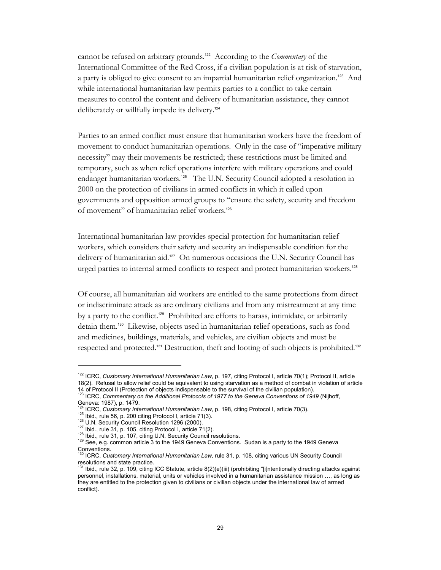cannot be refused on arbitrary grounds.122 According to the *Commentary* of the International Committee of the Red Cross, if a civilian population is at risk of starvation, a party is obliged to give consent to an impartial humanitarian relief organization.<sup>123</sup> And while international humanitarian law permits parties to a conflict to take certain measures to control the content and delivery of humanitarian assistance, they cannot deliberately or willfully impede its delivery.<sup>124</sup>

Parties to an armed conflict must ensure that humanitarian workers have the freedom of movement to conduct humanitarian operations. Only in the case of "imperative military necessity" may their movements be restricted; these restrictions must be limited and temporary, such as when relief operations interfere with military operations and could endanger humanitarian workers.<sup>125</sup> The U.N. Security Council adopted a resolution in 2000 on the protection of civilians in armed conflicts in which it called upon governments and opposition armed groups to "ensure the safety, security and freedom of movement" of humanitarian relief workers.<sup>126</sup>

International humanitarian law provides special protection for humanitarian relief workers, which considers their safety and security an indispensable condition for the delivery of humanitarian aid.<sup>127</sup> On numerous occasions the U.N. Security Council has urged parties to internal armed conflicts to respect and protect humanitarian workers.<sup>128</sup>

Of course, all humanitarian aid workers are entitled to the same protections from direct or indiscriminate attack as are ordinary civilians and from any mistreatment at any time by a party to the conflict.129 Prohibited are efforts to harass, intimidate, or arbitrarily detain them.130 Likewise, objects used in humanitarian relief operations, such as food and medicines, buildings, materials, and vehicles, are civilian objects and must be respected and protected.131 Destruction, theft and looting of such objects is prohibited.<sup>132</sup>

<sup>122</sup> ICRC, *Customary International Humanitarian Law*, p. 197, citing Protocol I, article 70(1); Protocol II, article 18(2). Refusal to allow relief could be equivalent to using starvation as a method of combat in violation of article 14 of Protocol II (Protection of objects indispensable to the survival of the civilian population). 123 ICRC, *Commentary on the Additional Protocols of 1977 to the Geneva Conventions of 1949* (Nijhoff,

Geneva: 1987), p. 1479.<br><sup>124</sup> ICRC, *Customary International Humanitarian Law*, p. 198, citing Protocol I, article 70(3).<br><sup>125</sup> Ibid., rule 56, p. 200 citing Protocol I, article 71(3).<br><sup>126</sup> U.N. Security Council Resolutio

Conventions. 130 ICRC, *Customary International Humanitarian Law*, rule 31, p. 108, citing various UN Security Council

resolutions and state practice.<br><sup>131</sup> Ibid., rule 32, p. 109, citing ICC Statute, article 8(2)(e)(iii) (prohibiting "[i]ntentionally directing attacks against personnel, installations, material, units or vehicles involved in a humanitarian assistance mission …, as long as they are entitled to the protection given to civilians or civilian objects under the international law of armed conflict).